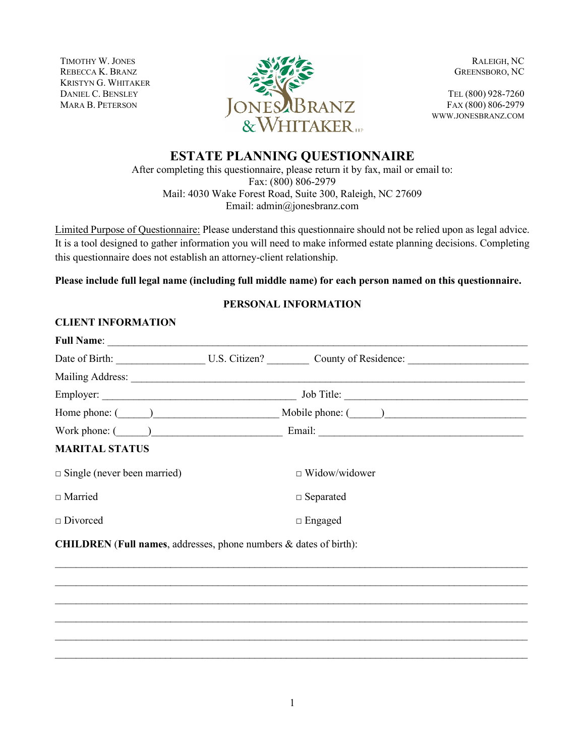TIMOTHY W. JONES REBECCA K. BRANZ KRISTYN G. WHITAKER DANIEL C. BENSLEY MARA B. PETERSON



RALEIGH, NC GREENSBORO, NC

TEL (800) 928-7260 FAX (800) 806-2979 WWW.JONESBRANZ.COM

# **ESTATE PLANNING QUESTIONNAIRE**

After completing this questionnaire, please return it by fax, mail or email to: Fax: (800) 806-2979 Mail: 4030 Wake Forest Road, Suite 300, Raleigh, NC 27609 Email: admin@jonesbranz.com

Limited Purpose of Questionnaire: Please understand this questionnaire should not be relied upon as legal advice. It is a tool designed to gather information you will need to make informed estate planning decisions. Completing this questionnaire does not establish an attorney-client relationship.

**Please include full legal name (including full middle name) for each person named on this questionnaire.**

# **PERSONAL INFORMATION**

# **CLIENT INFORMATION**

| <b>Full Name:</b>                  |                                                   |  |  |
|------------------------------------|---------------------------------------------------|--|--|
|                                    | Date of Birth: U.S. Citizen? County of Residence: |  |  |
| Mailing Address:                   |                                                   |  |  |
| Employer:                          | Job Title:                                        |  |  |
| Home phone: $(\_\_)$               | Mobile phone: ()                                  |  |  |
| Work phone: $($                    |                                                   |  |  |
| <b>MARITAL STATUS</b>              |                                                   |  |  |
| $\Box$ Single (never been married) | $\Box$ Widow/widower                              |  |  |
| $\Box$ Married                     | $\Box$ Separated                                  |  |  |
| $\Box$ Divorced                    | $\Box$ Engaged                                    |  |  |
|                                    |                                                   |  |  |

 $\_$  $\_$  $\_$  $\_$  $\_$  $\_$ 

**CHILDREN** (**Full names**, addresses, phone numbers & dates of birth):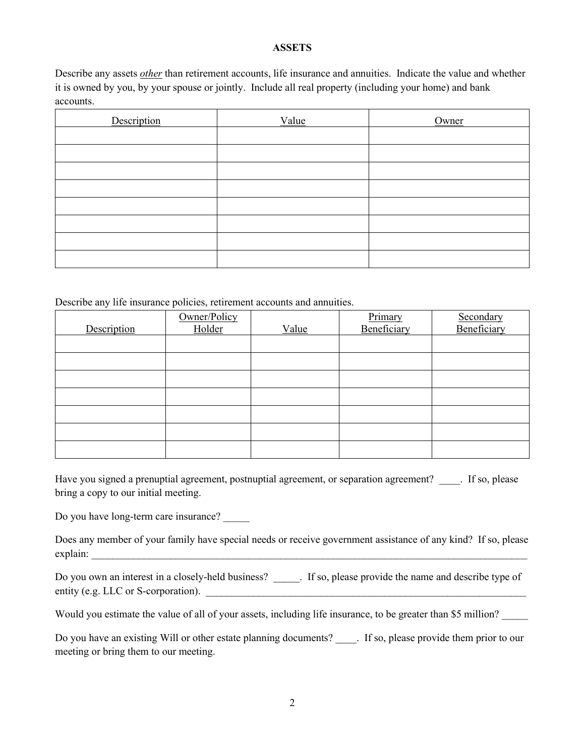## **ASSETS**

Describe any assets *other* than retirement accounts, life insurance and annuities. Indicate the value and whether it is owned by you, by your spouse or jointly. Include all real property (including your home) and bank accounts.

| Description | Value | Owner |
|-------------|-------|-------|
|             |       |       |
|             |       |       |
|             |       |       |
|             |       |       |
|             |       |       |
|             |       |       |
|             |       |       |
|             |       |       |

Describe any life insurance policies, retirement accounts and annuities.

| Description | Owner/Policy<br>Holder | Value | Primary<br>Beneficiary | Secondary<br>Beneficiary |
|-------------|------------------------|-------|------------------------|--------------------------|
|             |                        |       |                        |                          |
|             |                        |       |                        |                          |
|             |                        |       |                        |                          |
|             |                        |       |                        |                          |
|             |                        |       |                        |                          |
|             |                        |       |                        |                          |
|             |                        |       |                        |                          |

Have you signed a prenuptial agreement, postnuptial agreement, or separation agreement? Fig. please bring a copy to our initial meeting.

Do you have long-term care insurance?

Does any member of your family have special needs or receive government assistance of any kind? If so, please explain: \_\_\_\_\_\_\_\_\_\_\_\_\_\_\_\_\_\_\_\_\_\_\_\_\_\_\_\_\_\_\_\_\_\_\_\_\_\_\_\_\_\_\_\_\_\_\_\_\_\_\_\_\_\_\_\_\_\_\_\_\_\_\_\_\_\_\_\_\_\_\_\_\_\_\_\_\_\_\_\_\_\_\_

Do you own an interest in a closely-held business? \_\_\_\_\_. If so, please provide the name and describe type of entity (e.g. LLC or S-corporation).

Would you estimate the value of all of your assets, including life insurance, to be greater than \$5 million?

Do you have an existing Will or other estate planning documents? \_\_\_\_. If so, please provide them prior to our meeting or bring them to our meeting.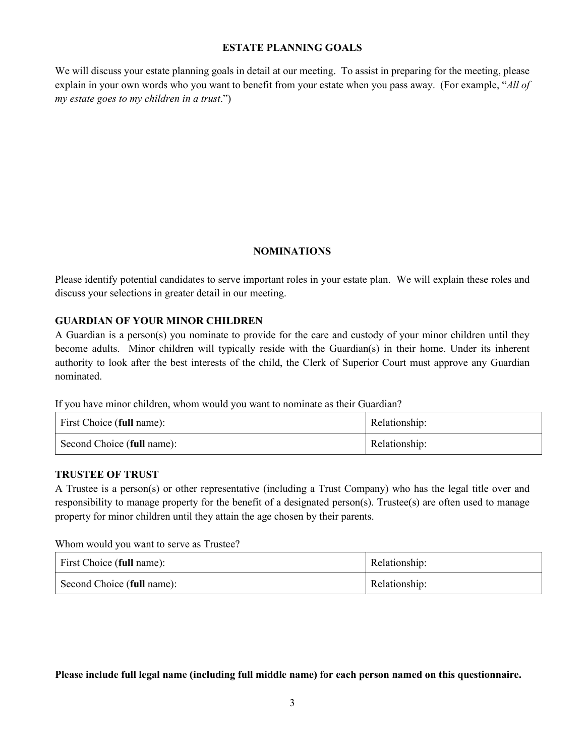## **ESTATE PLANNING GOALS**

We will discuss your estate planning goals in detail at our meeting. To assist in preparing for the meeting, please explain in your own words who you want to benefit from your estate when you pass away. (For example, "*All of my estate goes to my children in a trust*.")

## **NOMINATIONS**

Please identify potential candidates to serve important roles in your estate plan. We will explain these roles and discuss your selections in greater detail in our meeting.

## **GUARDIAN OF YOUR MINOR CHILDREN**

A Guardian is a person(s) you nominate to provide for the care and custody of your minor children until they become adults. Minor children will typically reside with the Guardian(s) in their home. Under its inherent authority to look after the best interests of the child, the Clerk of Superior Court must approve any Guardian nominated.

If you have minor children, whom would you want to nominate as their Guardian?

| First Choice (full name):  | Relationship: |
|----------------------------|---------------|
| Second Choice (full name): | Relationship: |

#### **TRUSTEE OF TRUST**

A Trustee is a person(s) or other representative (including a Trust Company) who has the legal title over and responsibility to manage property for the benefit of a designated person(s). Trustee(s) are often used to manage property for minor children until they attain the age chosen by their parents.

Whom would you want to serve as Trustee?

| First Choice (full name):  | Relationship: |
|----------------------------|---------------|
| Second Choice (full name): | Relationship: |

**Please include full legal name (including full middle name) for each person named on this questionnaire.**